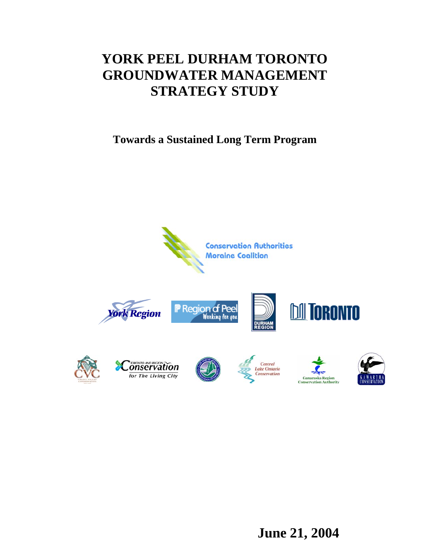# **YORK PEEL DURHAM TORONTO GROUNDWATER MANAGEMENT STRATEGY STUDY**

**Towards a Sustained Long Term Program** 



**June 21, 2004**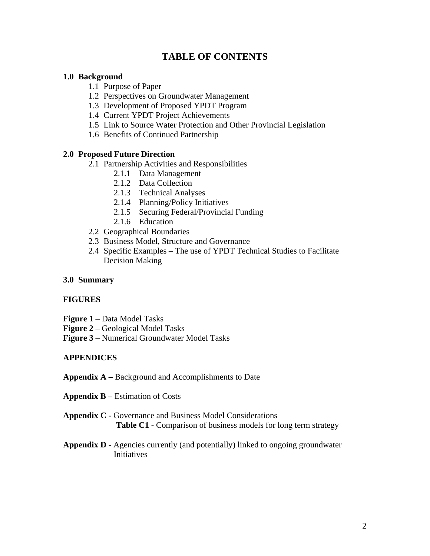## **TABLE OF CONTENTS**

#### **1.0 Background**

- 1.1 Purpose of Paper
- 1.2 Perspectives on Groundwater Management
- 1.3 Development of Proposed YPDT Program
- 1.4 Current YPDT Project Achievements
- 1.5 Link to Source Water Protection and Other Provincial Legislation
- 1.6 Benefits of Continued Partnership

### **2.0 Proposed Future Direction**

- 2.1 Partnership Activities and Responsibilities
	- 2.1.1 Data Management
	- 2.1.2 Data Collection
	- 2.1.3 Technical Analyses
	- 2.1.4 Planning/Policy Initiatives
	- 2.1.5 Securing Federal/Provincial Funding
	- 2.1.6 Education
- 2.2 Geographical Boundaries
- 2.3 Business Model, Structure and Governance
- 2.4 Specific Examples The use of YPDT Technical Studies to Facilitate Decision Making

#### **3.0 Summary**

### **FIGURES**

- **Figure 1** Data Model Tasks
- **Figure 2** Geological Model Tasks
- **Figure 3** Numerical Groundwater Model Tasks

### **APPENDICES**

- **Appendix A –** Background and Accomplishments to Date
- **Appendix B** Estimation of Costs
- **Appendix C** Governance and Business Model Considerations Table C1 - Comparison of business models for long term strategy
- **Appendix D** Agencies currently (and potentially) linked to ongoing groundwater Initiatives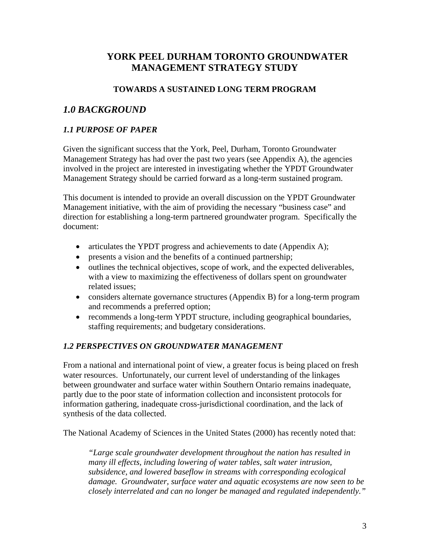## **YORK PEEL DURHAM TORONTO GROUNDWATER MANAGEMENT STRATEGY STUDY**

## **TOWARDS A SUSTAINED LONG TERM PROGRAM**

## *1.0 BACKGROUND*

## *1.1 PURPOSE OF PAPER*

Given the significant success that the York, Peel, Durham, Toronto Groundwater Management Strategy has had over the past two years (see Appendix A), the agencies involved in the project are interested in investigating whether the YPDT Groundwater Management Strategy should be carried forward as a long-term sustained program.

This document is intended to provide an overall discussion on the YPDT Groundwater Management initiative, with the aim of providing the necessary "business case" and direction for establishing a long-term partnered groundwater program. Specifically the document:

- articulates the YPDT progress and achievements to date (Appendix A);
- presents a vision and the benefits of a continued partnership;
- outlines the technical objectives, scope of work, and the expected deliverables, with a view to maximizing the effectiveness of dollars spent on groundwater related issues;
- considers alternate governance structures (Appendix B) for a long-term program and recommends a preferred option;
- recommends a long-term YPDT structure, including geographical boundaries, staffing requirements; and budgetary considerations.

### *1.2 PERSPECTIVES ON GROUNDWATER MANAGEMENT*

From a national and international point of view, a greater focus is being placed on fresh water resources. Unfortunately, our current level of understanding of the linkages between groundwater and surface water within Southern Ontario remains inadequate, partly due to the poor state of information collection and inconsistent protocols for information gathering, inadequate cross-jurisdictional coordination, and the lack of synthesis of the data collected.

The National Academy of Sciences in the United States (2000) has recently noted that:

*"Large scale groundwater development throughout the nation has resulted in many ill effects, including lowering of water tables, salt water intrusion, subsidence, and lowered baseflow in streams with corresponding ecological damage. Groundwater, surface water and aquatic ecosystems are now seen to be closely interrelated and can no longer be managed and regulated independently."*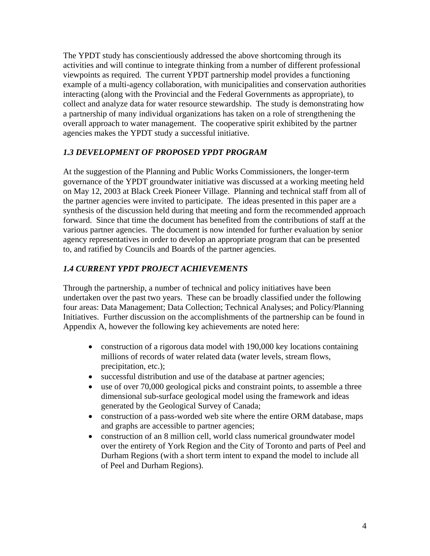The YPDT study has conscientiously addressed the above shortcoming through its activities and will continue to integrate thinking from a number of different professional viewpoints as required. The current YPDT partnership model provides a functioning example of a multi-agency collaboration, with municipalities and conservation authorities interacting (along with the Provincial and the Federal Governments as appropriate), to collect and analyze data for water resource stewardship. The study is demonstrating how a partnership of many individual organizations has taken on a role of strengthening the overall approach to water management. The cooperative spirit exhibited by the partner agencies makes the YPDT study a successful initiative.

## *1.3 DEVELOPMENT OF PROPOSED YPDT PROGRAM*

At the suggestion of the Planning and Public Works Commissioners, the longer-term governance of the YPDT groundwater initiative was discussed at a working meeting held on May 12, 2003 at Black Creek Pioneer Village. Planning and technical staff from all of the partner agencies were invited to participate. The ideas presented in this paper are a synthesis of the discussion held during that meeting and form the recommended approach forward. Since that time the document has benefited from the contributions of staff at the various partner agencies. The document is now intended for further evaluation by senior agency representatives in order to develop an appropriate program that can be presented to, and ratified by Councils and Boards of the partner agencies.

## *1.4 CURRENT YPDT PROJECT ACHIEVEMENTS*

Through the partnership, a number of technical and policy initiatives have been undertaken over the past two years. These can be broadly classified under the following four areas: Data Management; Data Collection; Technical Analyses; and Policy/Planning Initiatives. Further discussion on the accomplishments of the partnership can be found in Appendix A, however the following key achievements are noted here:

- construction of a rigorous data model with 190,000 key locations containing millions of records of water related data (water levels, stream flows, precipitation, etc.);
- successful distribution and use of the database at partner agencies;
- use of over 70,000 geological picks and constraint points, to assemble a three dimensional sub-surface geological model using the framework and ideas generated by the Geological Survey of Canada;
- construction of a pass-worded web site where the entire ORM database, maps and graphs are accessible to partner agencies;
- construction of an 8 million cell, world class numerical groundwater model over the entirety of York Region and the City of Toronto and parts of Peel and Durham Regions (with a short term intent to expand the model to include all of Peel and Durham Regions).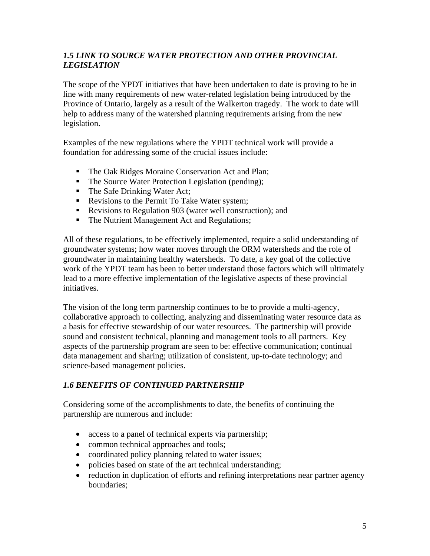## *1.5 LINK TO SOURCE WATER PROTECTION AND OTHER PROVINCIAL LEGISLATION*

The scope of the YPDT initiatives that have been undertaken to date is proving to be in line with many requirements of new water-related legislation being introduced by the Province of Ontario, largely as a result of the Walkerton tragedy. The work to date will help to address many of the watershed planning requirements arising from the new legislation.

Examples of the new regulations where the YPDT technical work will provide a foundation for addressing some of the crucial issues include:

- The Oak Ridges Moraine Conservation Act and Plan;
- The Source Water Protection Legislation (pending);
- The Safe Drinking Water Act;
- Revisions to the Permit To Take Water system;
- Revisions to Regulation 903 (water well construction); and
- The Nutrient Management Act and Regulations;

All of these regulations, to be effectively implemented, require a solid understanding of groundwater systems; how water moves through the ORM watersheds and the role of groundwater in maintaining healthy watersheds. To date, a key goal of the collective work of the YPDT team has been to better understand those factors which will ultimately lead to a more effective implementation of the legislative aspects of these provincial initiatives.

The vision of the long term partnership continues to be to provide a multi-agency, collaborative approach to collecting, analyzing and disseminating water resource data as a basis for effective stewardship of our water resources. The partnership will provide sound and consistent technical, planning and management tools to all partners. Key aspects of the partnership program are seen to be: effective communication; continual data management and sharing; utilization of consistent, up-to-date technology; and science-based management policies.

### *1.6 BENEFITS OF CONTINUED PARTNERSHIP*

Considering some of the accomplishments to date, the benefits of continuing the partnership are numerous and include:

- access to a panel of technical experts via partnership;
- common technical approaches and tools;
- coordinated policy planning related to water issues;
- policies based on state of the art technical understanding;
- reduction in duplication of efforts and refining interpretations near partner agency boundaries;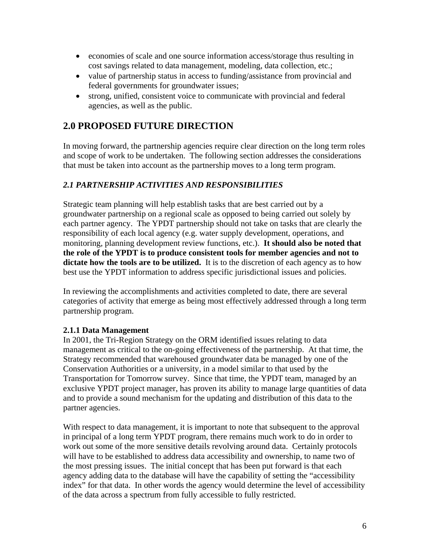- economies of scale and one source information access/storage thus resulting in cost savings related to data management, modeling, data collection, etc.;
- value of partnership status in access to funding/assistance from provincial and federal governments for groundwater issues;
- strong, unified, consistent voice to communicate with provincial and federal agencies, as well as the public.

## **2.0 PROPOSED FUTURE DIRECTION**

In moving forward, the partnership agencies require clear direction on the long term roles and scope of work to be undertaken. The following section addresses the considerations that must be taken into account as the partnership moves to a long term program.

### *2.1 PARTNERSHIP ACTIVITIES AND RESPONSIBILITIES*

Strategic team planning will help establish tasks that are best carried out by a groundwater partnership on a regional scale as opposed to being carried out solely by each partner agency. The YPDT partnership should not take on tasks that are clearly the responsibility of each local agency (e.g. water supply development, operations, and monitoring, planning development review functions, etc.). **It should also be noted that the role of the YPDT is to produce consistent tools for member agencies and not to dictate how the tools are to be utilized.** It is to the discretion of each agency as to how best use the YPDT information to address specific jurisdictional issues and policies.

In reviewing the accomplishments and activities completed to date, there are several categories of activity that emerge as being most effectively addressed through a long term partnership program.

### **2.1.1 Data Management**

In 2001, the Tri-Region Strategy on the ORM identified issues relating to data management as critical to the on-going effectiveness of the partnership. At that time, the Strategy recommended that warehoused groundwater data be managed by one of the Conservation Authorities or a university, in a model similar to that used by the Transportation for Tomorrow survey. Since that time, the YPDT team, managed by an exclusive YPDT project manager, has proven its ability to manage large quantities of data and to provide a sound mechanism for the updating and distribution of this data to the partner agencies.

With respect to data management, it is important to note that subsequent to the approval in principal of a long term YPDT program, there remains much work to do in order to work out some of the more sensitive details revolving around data. Certainly protocols will have to be established to address data accessibility and ownership, to name two of the most pressing issues. The initial concept that has been put forward is that each agency adding data to the database will have the capability of setting the "accessibility index" for that data. In other words the agency would determine the level of accessibility of the data across a spectrum from fully accessible to fully restricted.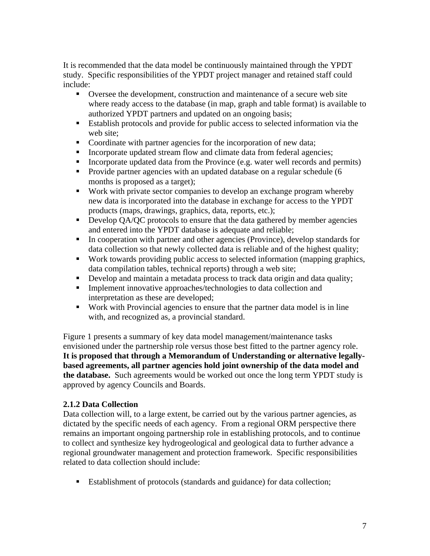It is recommended that the data model be continuously maintained through the YPDT study. Specific responsibilities of the YPDT project manager and retained staff could include:

- Oversee the development, construction and maintenance of a secure web site where ready access to the database (in map, graph and table format) is available to authorized YPDT partners and updated on an ongoing basis;
- Establish protocols and provide for public access to selected information via the web site;
- Coordinate with partner agencies for the incorporation of new data;
- Incorporate updated stream flow and climate data from federal agencies;
- Incorporate updated data from the Province (e.g. water well records and permits)
- Provide partner agencies with an updated database on a regular schedule (6 months is proposed as a target);
- Work with private sector companies to develop an exchange program whereby new data is incorporated into the database in exchange for access to the YPDT products (maps, drawings, graphics, data, reports, etc.);
- Develop QA/QC protocols to ensure that the data gathered by member agencies and entered into the YPDT database is adequate and reliable;
- In cooperation with partner and other agencies (Province), develop standards for data collection so that newly collected data is reliable and of the highest quality;
- Work towards providing public access to selected information (mapping graphics, data compilation tables, technical reports) through a web site;
- Develop and maintain a metadata process to track data origin and data quality;
- **Implement innovative approaches/technologies to data collection and** interpretation as these are developed;
- Work with Provincial agencies to ensure that the partner data model is in line with, and recognized as, a provincial standard.

Figure 1 presents a summary of key data model management/maintenance tasks envisioned under the partnership role versus those best fitted to the partner agency role. **It is proposed that through a Memorandum of Understanding or alternative legallybased agreements, all partner agencies hold joint ownership of the data model and the database.** Such agreements would be worked out once the long term YPDT study is approved by agency Councils and Boards.

## **2.1.2 Data Collection**

Data collection will, to a large extent, be carried out by the various partner agencies, as dictated by the specific needs of each agency. From a regional ORM perspective there remains an important ongoing partnership role in establishing protocols, and to continue to collect and synthesize key hydrogeological and geological data to further advance a regional groundwater management and protection framework. Specific responsibilities related to data collection should include:

■ Establishment of protocols (standards and guidance) for data collection;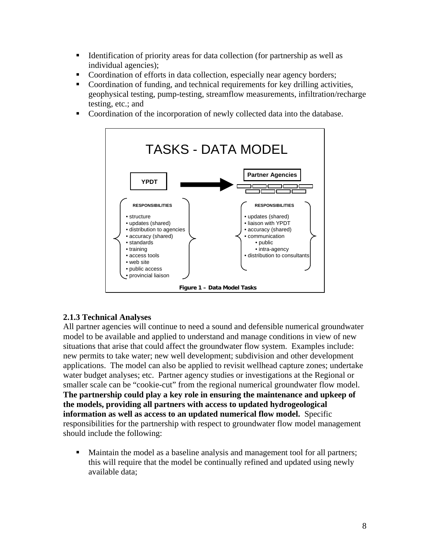- Identification of priority areas for data collection (for partnership as well as individual agencies);
- Coordination of efforts in data collection, especially near agency borders;
- Coordination of funding, and technical requirements for key drilling activities, geophysical testing, pump-testing, streamflow measurements, infiltration/recharge testing, etc.; and
- Coordination of the incorporation of newly collected data into the database.



### **2.1.3 Technical Analyses**

All partner agencies will continue to need a sound and defensible numerical groundwater model to be available and applied to understand and manage conditions in view of new situations that arise that could affect the groundwater flow system. Examples include: new permits to take water; new well development; subdivision and other development applications. The model can also be applied to revisit wellhead capture zones; undertake water budget analyses; etc. Partner agency studies or investigations at the Regional or smaller scale can be "cookie-cut" from the regional numerical groundwater flow model. **The partnership could play a key role in ensuring the maintenance and upkeep of the models, providing all partners with access to updated hydrogeological information as well as access to an updated numerical flow model.** Specific responsibilities for the partnership with respect to groundwater flow model management should include the following:

 Maintain the model as a baseline analysis and management tool for all partners; this will require that the model be continually refined and updated using newly available data;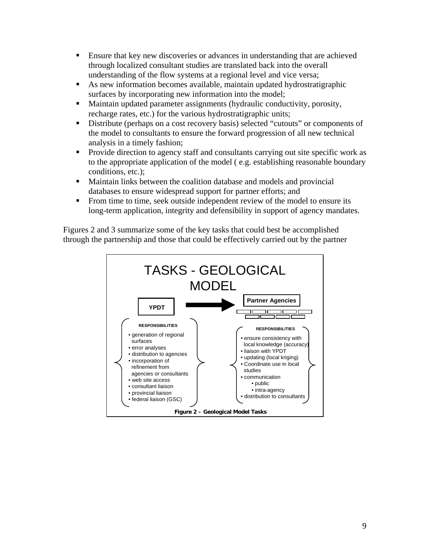- Ensure that key new discoveries or advances in understanding that are achieved through localized consultant studies are translated back into the overall understanding of the flow systems at a regional level and vice versa;
- As new information becomes available, maintain updated hydrostratigraphic surfaces by incorporating new information into the model;
- Maintain updated parameter assignments (hydraulic conductivity, porosity, recharge rates, etc.) for the various hydrostratigraphic units;
- Distribute (perhaps on a cost recovery basis) selected "cutouts" or components of the model to consultants to ensure the forward progression of all new technical analysis in a timely fashion;
- **Provide direction to agency staff and consultants carrying out site specific work as** to the appropriate application of the model ( e.g. establishing reasonable boundary conditions, etc.);
- Maintain links between the coalition database and models and provincial databases to ensure widespread support for partner efforts; and
- From time to time, seek outside independent review of the model to ensure its long-term application, integrity and defensibility in support of agency mandates.

Figures 2 and 3 summarize some of the key tasks that could best be accomplished through the partnership and those that could be effectively carried out by the partner

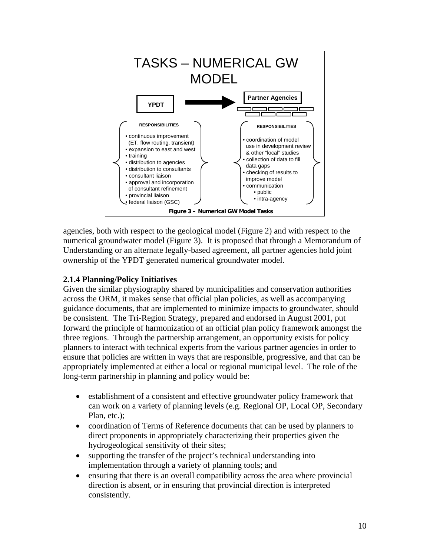

agencies, both with respect to the geological model (Figure 2) and with respect to the numerical groundwater model (Figure 3). It is proposed that through a Memorandum of Understanding or an alternate legally-based agreement, all partner agencies hold joint ownership of the YPDT generated numerical groundwater model.

## **2.1.4 Planning/Policy Initiatives**

Given the similar physiography shared by municipalities and conservation authorities across the ORM, it makes sense that official plan policies, as well as accompanying guidance documents, that are implemented to minimize impacts to groundwater, should be consistent. The Tri-Region Strategy, prepared and endorsed in August 2001, put forward the principle of harmonization of an official plan policy framework amongst the three regions. Through the partnership arrangement, an opportunity exists for policy planners to interact with technical experts from the various partner agencies in order to ensure that policies are written in ways that are responsible, progressive, and that can be appropriately implemented at either a local or regional municipal level. The role of the long-term partnership in planning and policy would be:

- establishment of a consistent and effective groundwater policy framework that can work on a variety of planning levels (e.g. Regional OP, Local OP, Secondary Plan, etc.);
- coordination of Terms of Reference documents that can be used by planners to direct proponents in appropriately characterizing their properties given the hydrogeological sensitivity of their sites;
- supporting the transfer of the project's technical understanding into implementation through a variety of planning tools; and
- ensuring that there is an overall compatibility across the area where provincial direction is absent, or in ensuring that provincial direction is interpreted consistently.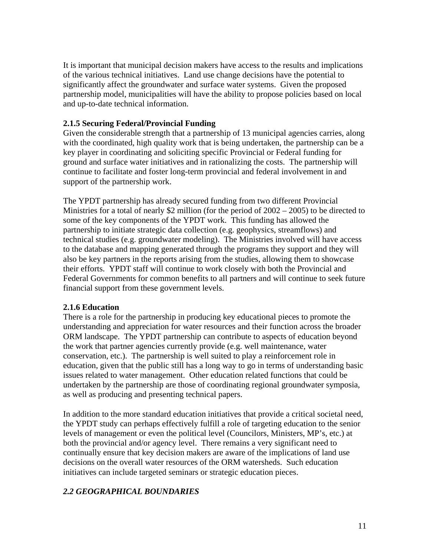It is important that municipal decision makers have access to the results and implications of the various technical initiatives. Land use change decisions have the potential to significantly affect the groundwater and surface water systems. Given the proposed partnership model, municipalities will have the ability to propose policies based on local and up-to-date technical information.

### **2.1.5 Securing Federal/Provincial Funding**

Given the considerable strength that a partnership of 13 municipal agencies carries, along with the coordinated, high quality work that is being undertaken, the partnership can be a key player in coordinating and soliciting specific Provincial or Federal funding for ground and surface water initiatives and in rationalizing the costs. The partnership will continue to facilitate and foster long-term provincial and federal involvement in and support of the partnership work.

The YPDT partnership has already secured funding from two different Provincial Ministries for a total of nearly \$2 million (for the period of 2002 – 2005) to be directed to some of the key components of the YPDT work. This funding has allowed the partnership to initiate strategic data collection (e.g. geophysics, streamflows) and technical studies (e.g. groundwater modeling). The Ministries involved will have access to the database and mapping generated through the programs they support and they will also be key partners in the reports arising from the studies, allowing them to showcase their efforts. YPDT staff will continue to work closely with both the Provincial and Federal Governments for common benefits to all partners and will continue to seek future financial support from these government levels.

### **2.1.6 Education**

There is a role for the partnership in producing key educational pieces to promote the understanding and appreciation for water resources and their function across the broader ORM landscape. The YPDT partnership can contribute to aspects of education beyond the work that partner agencies currently provide (e.g. well maintenance, water conservation, etc.). The partnership is well suited to play a reinforcement role in education, given that the public still has a long way to go in terms of understanding basic issues related to water management. Other education related functions that could be undertaken by the partnership are those of coordinating regional groundwater symposia, as well as producing and presenting technical papers.

In addition to the more standard education initiatives that provide a critical societal need, the YPDT study can perhaps effectively fulfill a role of targeting education to the senior levels of management or even the political level (Councilors, Ministers, MP's, etc.) at both the provincial and/or agency level. There remains a very significant need to continually ensure that key decision makers are aware of the implications of land use decisions on the overall water resources of the ORM watersheds. Such education initiatives can include targeted seminars or strategic education pieces.

## *2.2 GEOGRAPHICAL BOUNDARIES*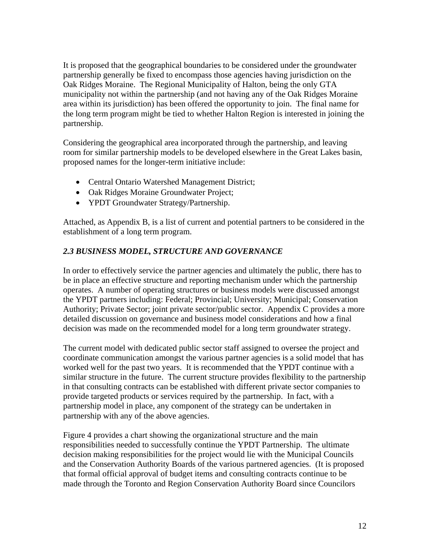It is proposed that the geographical boundaries to be considered under the groundwater partnership generally be fixed to encompass those agencies having jurisdiction on the Oak Ridges Moraine. The Regional Municipality of Halton, being the only GTA municipality not within the partnership (and not having any of the Oak Ridges Moraine area within its jurisdiction) has been offered the opportunity to join. The final name for the long term program might be tied to whether Halton Region is interested in joining the partnership.

Considering the geographical area incorporated through the partnership, and leaving room for similar partnership models to be developed elsewhere in the Great Lakes basin, proposed names for the longer-term initiative include:

- Central Ontario Watershed Management District;
- Oak Ridges Moraine Groundwater Project;
- YPDT Groundwater Strategy/Partnership.

Attached, as Appendix B, is a list of current and potential partners to be considered in the establishment of a long term program.

## *2.3 BUSINESS MODEL, STRUCTURE AND GOVERNANCE*

In order to effectively service the partner agencies and ultimately the public, there has to be in place an effective structure and reporting mechanism under which the partnership operates. A number of operating structures or business models were discussed amongst the YPDT partners including: Federal; Provincial; University; Municipal; Conservation Authority; Private Sector; joint private sector/public sector. Appendix C provides a more detailed discussion on governance and business model considerations and how a final decision was made on the recommended model for a long term groundwater strategy.

The current model with dedicated public sector staff assigned to oversee the project and coordinate communication amongst the various partner agencies is a solid model that has worked well for the past two years. It is recommended that the YPDT continue with a similar structure in the future. The current structure provides flexibility to the partnership in that consulting contracts can be established with different private sector companies to provide targeted products or services required by the partnership. In fact, with a partnership model in place, any component of the strategy can be undertaken in partnership with any of the above agencies.

Figure 4 provides a chart showing the organizational structure and the main responsibilities needed to successfully continue the YPDT Partnership. The ultimate decision making responsibilities for the project would lie with the Municipal Councils and the Conservation Authority Boards of the various partnered agencies. (It is proposed that formal official approval of budget items and consulting contracts continue to be made through the Toronto and Region Conservation Authority Board since Councilors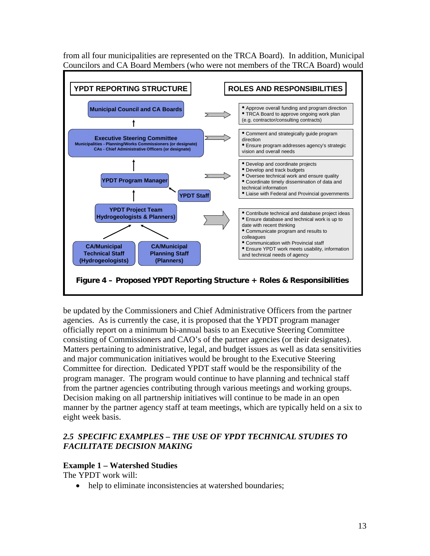from all four municipalities are represented on the TRCA Board). In addition, Municipal Councilors and CA Board Members (who were not members of the TRCA Board) would



be updated by the Commissioners and Chief Administrative Officers from the partner agencies. As is currently the case, it is proposed that the YPDT program manager officially report on a minimum bi-annual basis to an Executive Steering Committee consisting of Commissioners and CAO's of the partner agencies (or their designates). Matters pertaining to administrative, legal, and budget issues as well as data sensitivities and major communication initiatives would be brought to the Executive Steering Committee for direction. Dedicated YPDT staff would be the responsibility of the program manager. The program would continue to have planning and technical staff from the partner agencies contributing through various meetings and working groups. Decision making on all partnership initiatives will continue to be made in an open manner by the partner agency staff at team meetings, which are typically held on a six to eight week basis.

## *2.5 SPECIFIC EXAMPLES – THE USE OF YPDT TECHNICAL STUDIES TO FACILITATE DECISION MAKING*

### **Example 1 – Watershed Studies**

The YPDT work will:

• help to eliminate inconsistencies at watershed boundaries;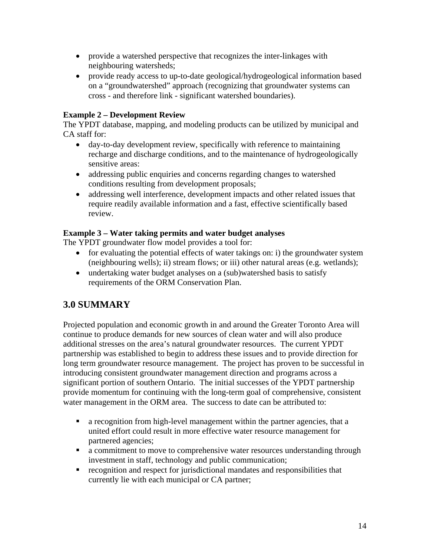- provide a watershed perspective that recognizes the inter-linkages with neighbouring watersheds;
- provide ready access to up-to-date geological/hydrogeological information based on a "groundwatershed" approach (recognizing that groundwater systems can cross - and therefore link - significant watershed boundaries).

## **Example 2 – Development Review**

The YPDT database, mapping, and modeling products can be utilized by municipal and CA staff for:

- day-to-day development review, specifically with reference to maintaining recharge and discharge conditions, and to the maintenance of hydrogeologically sensitive areas:
- addressing public enquiries and concerns regarding changes to watershed conditions resulting from development proposals;
- addressing well interference, development impacts and other related issues that require readily available information and a fast, effective scientifically based review.

### **Example 3 – Water taking permits and water budget analyses**

The YPDT groundwater flow model provides a tool for:

- for evaluating the potential effects of water takings on: i) the groundwater system (neighbouring wells); ii) stream flows; or iii) other natural areas (e.g. wetlands);
- undertaking water budget analyses on a (sub)watershed basis to satisfy requirements of the ORM Conservation Plan.

## **3.0 SUMMARY**

Projected population and economic growth in and around the Greater Toronto Area will continue to produce demands for new sources of clean water and will also produce additional stresses on the area's natural groundwater resources. The current YPDT partnership was established to begin to address these issues and to provide direction for long term groundwater resource management. The project has proven to be successful in introducing consistent groundwater management direction and programs across a significant portion of southern Ontario. The initial successes of the YPDT partnership provide momentum for continuing with the long-term goal of comprehensive, consistent water management in the ORM area. The success to date can be attributed to:

- a recognition from high-level management within the partner agencies, that a united effort could result in more effective water resource management for partnered agencies;
- a commitment to move to comprehensive water resources understanding through investment in staff, technology and public communication;
- recognition and respect for jurisdictional mandates and responsibilities that currently lie with each municipal or CA partner;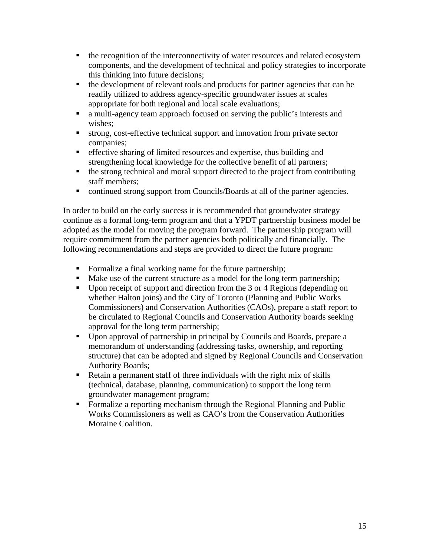- the recognition of the interconnectivity of water resources and related ecosystem components, and the development of technical and policy strategies to incorporate this thinking into future decisions;
- the development of relevant tools and products for partner agencies that can be readily utilized to address agency-specific groundwater issues at scales appropriate for both regional and local scale evaluations;
- a multi-agency team approach focused on serving the public's interests and wishes;
- strong, cost-effective technical support and innovation from private sector companies;
- effective sharing of limited resources and expertise, thus building and strengthening local knowledge for the collective benefit of all partners;
- $\bullet$  the strong technical and moral support directed to the project from contributing staff members;
- continued strong support from Councils/Boards at all of the partner agencies.

In order to build on the early success it is recommended that groundwater strategy continue as a formal long-term program and that a YPDT partnership business model be adopted as the model for moving the program forward. The partnership program will require commitment from the partner agencies both politically and financially. The following recommendations and steps are provided to direct the future program:

- Formalize a final working name for the future partnership;
- Make use of the current structure as a model for the long term partnership;
- Upon receipt of support and direction from the 3 or 4 Regions (depending on whether Halton joins) and the City of Toronto (Planning and Public Works Commissioners) and Conservation Authorities (CAOs), prepare a staff report to be circulated to Regional Councils and Conservation Authority boards seeking approval for the long term partnership;
- Upon approval of partnership in principal by Councils and Boards, prepare a memorandum of understanding (addressing tasks, ownership, and reporting structure) that can be adopted and signed by Regional Councils and Conservation Authority Boards;
- Retain a permanent staff of three individuals with the right mix of skills (technical, database, planning, communication) to support the long term groundwater management program;
- **Formalize a reporting mechanism through the Regional Planning and Public** Works Commissioners as well as CAO's from the Conservation Authorities Moraine Coalition.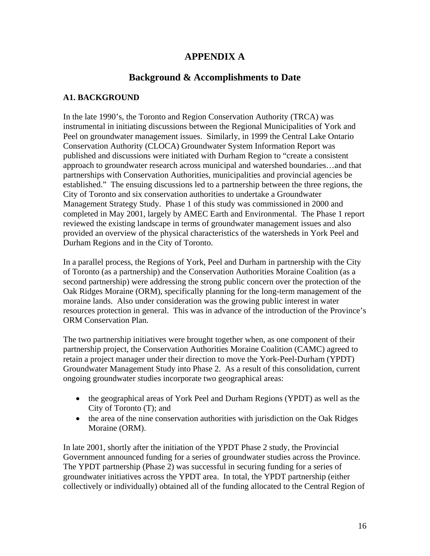## **APPENDIX A**

## **Background & Accomplishments to Date**

### **A1. BACKGROUND**

In the late 1990's, the Toronto and Region Conservation Authority (TRCA) was instrumental in initiating discussions between the Regional Municipalities of York and Peel on groundwater management issues. Similarly, in 1999 the Central Lake Ontario Conservation Authority (CLOCA) Groundwater System Information Report was published and discussions were initiated with Durham Region to "create a consistent approach to groundwater research across municipal and watershed boundaries…and that partnerships with Conservation Authorities, municipalities and provincial agencies be established." The ensuing discussions led to a partnership between the three regions, the City of Toronto and six conservation authorities to undertake a Groundwater Management Strategy Study. Phase 1 of this study was commissioned in 2000 and completed in May 2001, largely by AMEC Earth and Environmental. The Phase 1 report reviewed the existing landscape in terms of groundwater management issues and also provided an overview of the physical characteristics of the watersheds in York Peel and Durham Regions and in the City of Toronto.

In a parallel process, the Regions of York, Peel and Durham in partnership with the City of Toronto (as a partnership) and the Conservation Authorities Moraine Coalition (as a second partnership) were addressing the strong public concern over the protection of the Oak Ridges Moraine (ORM), specifically planning for the long-term management of the moraine lands. Also under consideration was the growing public interest in water resources protection in general. This was in advance of the introduction of the Province's ORM Conservation Plan.

The two partnership initiatives were brought together when, as one component of their partnership project, the Conservation Authorities Moraine Coalition (CAMC) agreed to retain a project manager under their direction to move the York-Peel-Durham (YPDT) Groundwater Management Study into Phase 2. As a result of this consolidation, current ongoing groundwater studies incorporate two geographical areas:

- the geographical areas of York Peel and Durham Regions (YPDT) as well as the City of Toronto (T); and
- the area of the nine conservation authorities with jurisdiction on the Oak Ridges Moraine (ORM).

In late 2001, shortly after the initiation of the YPDT Phase 2 study, the Provincial Government announced funding for a series of groundwater studies across the Province. The YPDT partnership (Phase 2) was successful in securing funding for a series of groundwater initiatives across the YPDT area. In total, the YPDT partnership (either collectively or individually) obtained all of the funding allocated to the Central Region of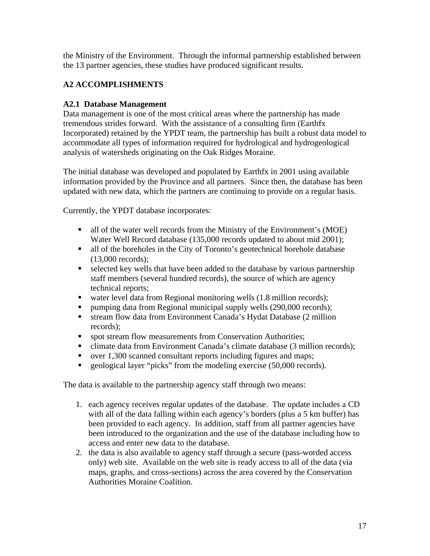the Ministry of the Environment. Through the informal partnership established between the 13 partner agencies, these studies have produced significant results.

## **A2 ACCOMPLISHMENTS**

## **A2.1 Database Management**

Data management is one of the most critical areas where the partnership has made tremendous strides forward. With the assistance of a consulting firm (Earthfx Incorporated) retained by the YPDT team, the partnership has built a robust data model to accommodate all types of information required for hydrological and hydrogeological analysis of watersheds originating on the Oak Ridges Moraine.

The initial database was developed and populated by Earthfx in 2001 using available information provided by the Province and all partners. Since then, the database has been updated with new data, which the partners are continuing to provide on a regular basis.

Currently, the YPDT database incorporates:

- all of the water well records from the Ministry of the Environment's (MOE) Water Well Record database (135,000 records updated to about mid 2001);
- all of the boreholes in the City of Toronto's geotechnical borehole database (13,000 records);
- selected key wells that have been added to the database by various partnership staff members (several hundred records), the source of which are agency technical reports;
- water level data from Regional monitoring wells (1.8 million records);
- pumping data from Regional municipal supply wells (290,000 records);
- stream flow data from Environment Canada's Hydat Database (2 million records);
- **spot stream flow measurements from Conservation Authorities;**
- climate data from Environment Canada's climate database (3 million records);
- over 1,300 scanned consultant reports including figures and maps;
- geological layer "picks" from the modeling exercise (50,000 records).

The data is available to the partnership agency staff through two means:

- 1. each agency receives regular updates of the database. The update includes a CD with all of the data falling within each agency's borders (plus a 5 km buffer) has been provided to each agency. In addition, staff from all partner agencies have been introduced to the organization and the use of the database including how to access and enter new data to the database.
- 2. the data is also available to agency staff through a secure (pass-worded access only) web site. Available on the web site is ready access to all of the data (via maps, graphs, and cross-sections) across the area covered by the Conservation Authorities Moraine Coalition.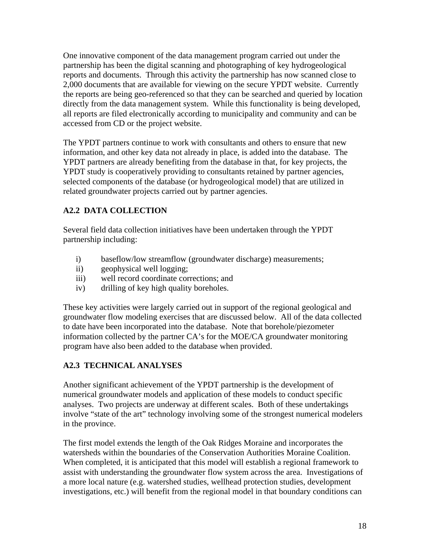One innovative component of the data management program carried out under the partnership has been the digital scanning and photographing of key hydrogeological reports and documents. Through this activity the partnership has now scanned close to 2,000 documents that are available for viewing on the secure YPDT website. Currently the reports are being geo-referenced so that they can be searched and queried by location directly from the data management system. While this functionality is being developed, all reports are filed electronically according to municipality and community and can be accessed from CD or the project website.

The YPDT partners continue to work with consultants and others to ensure that new information, and other key data not already in place, is added into the database. The YPDT partners are already benefiting from the database in that, for key projects, the YPDT study is cooperatively providing to consultants retained by partner agencies, selected components of the database (or hydrogeological model) that are utilized in related groundwater projects carried out by partner agencies.

## **A2.2 DATA COLLECTION**

Several field data collection initiatives have been undertaken through the YPDT partnership including:

- i) baseflow/low streamflow (groundwater discharge) measurements;
- ii) geophysical well logging;
- iii) well record coordinate corrections; and
- iv) drilling of key high quality boreholes.

These key activities were largely carried out in support of the regional geological and groundwater flow modeling exercises that are discussed below. All of the data collected to date have been incorporated into the database. Note that borehole/piezometer information collected by the partner CA's for the MOE/CA groundwater monitoring program have also been added to the database when provided.

## **A2.3 TECHNICAL ANALYSES**

Another significant achievement of the YPDT partnership is the development of numerical groundwater models and application of these models to conduct specific analyses. Two projects are underway at different scales. Both of these undertakings involve "state of the art" technology involving some of the strongest numerical modelers in the province.

The first model extends the length of the Oak Ridges Moraine and incorporates the watersheds within the boundaries of the Conservation Authorities Moraine Coalition. When completed, it is anticipated that this model will establish a regional framework to assist with understanding the groundwater flow system across the area. Investigations of a more local nature (e.g. watershed studies, wellhead protection studies, development investigations, etc.) will benefit from the regional model in that boundary conditions can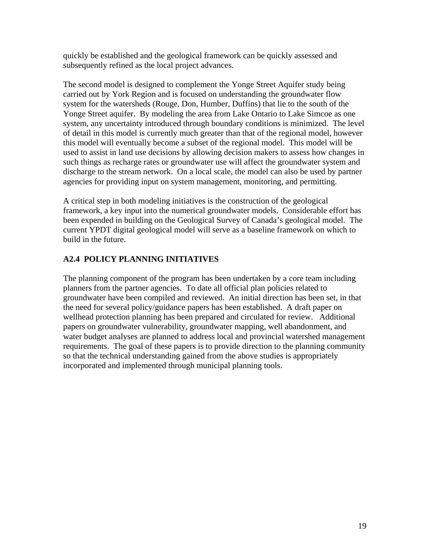quickly be established and the geological framework can be quickly assessed and subsequently refined as the local project advances.

The second model is designed to complement the Yonge Street Aquifer study being carried out by York Region and is focused on understanding the groundwater flow system for the watersheds (Rouge, Don, Humber, Duffins) that lie to the south of the Yonge Street aquifer. By modeling the area from Lake Ontario to Lake Simcoe as one system, any uncertainty introduced through boundary conditions is minimized. The level of detail in this model is currently much greater than that of the regional model, however this model will eventually become a subset of the regional model. This model will be used to assist in land use decisions by allowing decision makers to assess how changes in such things as recharge rates or groundwater use will affect the groundwater system and discharge to the stream network. On a local scale, the model can also be used by partner agencies for providing input on system management, monitoring, and permitting.

A critical step in both modeling initiatives is the construction of the geological framework, a key input into the numerical groundwater models. Considerable effort has been expended in building on the Geological Survey of Canada's geological model. The current YPDT digital geological model will serve as a baseline framework on which to build in the future.

## **A2.4 POLICY PLANNING INITIATIVES**

The planning component of the program has been undertaken by a core team including planners from the partner agencies. To date all official plan policies related to groundwater have been compiled and reviewed. An initial direction has been set, in that the need for several policy/guidance papers has been established. A draft paper on wellhead protection planning has been prepared and circulated for review. Additional papers on groundwater vulnerability, groundwater mapping, well abandonment, and water budget analyses are planned to address local and provincial watershed management requirements. The goal of these papers is to provide direction to the planning community so that the technical understanding gained from the above studies is appropriately incorporated and implemented through municipal planning tools.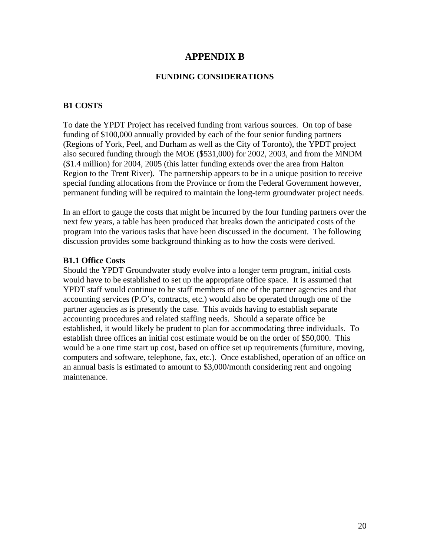## **APPENDIX B**

#### **FUNDING CONSIDERATIONS**

#### **B1 COSTS**

To date the YPDT Project has received funding from various sources. On top of base funding of \$100,000 annually provided by each of the four senior funding partners (Regions of York, Peel, and Durham as well as the City of Toronto), the YPDT project also secured funding through the MOE (\$531,000) for 2002, 2003, and from the MNDM (\$1.4 million) for 2004, 2005 (this latter funding extends over the area from Halton Region to the Trent River). The partnership appears to be in a unique position to receive special funding allocations from the Province or from the Federal Government however, permanent funding will be required to maintain the long-term groundwater project needs.

In an effort to gauge the costs that might be incurred by the four funding partners over the next few years, a table has been produced that breaks down the anticipated costs of the program into the various tasks that have been discussed in the document. The following discussion provides some background thinking as to how the costs were derived.

#### **B1.1 Office Costs**

Should the YPDT Groundwater study evolve into a longer term program, initial costs would have to be established to set up the appropriate office space. It is assumed that YPDT staff would continue to be staff members of one of the partner agencies and that accounting services (P.O's, contracts, etc.) would also be operated through one of the partner agencies as is presently the case. This avoids having to establish separate accounting procedures and related staffing needs. Should a separate office be established, it would likely be prudent to plan for accommodating three individuals. To establish three offices an initial cost estimate would be on the order of \$50,000. This would be a one time start up cost, based on office set up requirements (furniture, moving, computers and software, telephone, fax, etc.). Once established, operation of an office on an annual basis is estimated to amount to \$3,000/month considering rent and ongoing maintenance.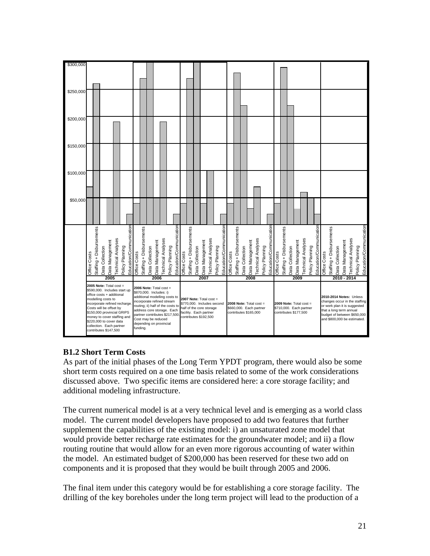| \$300,000 |                                                                                                                                                                                                                                                                                                                      |                          |                                    |                           |                 |                         |                                                                                                                                                                                                                                                                                     |                          |                 |                 |                           |                 |                         |                                                                                                                                      |                          |                 |                 |                           |                 |                                                                               |              |                          |                 |                 |                           |                                                                               |                         |              |                          |                 |                 |                                                                                                                                                                                   |                 |                         |              |                          |                 |                 |                           |                 |                         |
|-----------|----------------------------------------------------------------------------------------------------------------------------------------------------------------------------------------------------------------------------------------------------------------------------------------------------------------------|--------------------------|------------------------------------|---------------------------|-----------------|-------------------------|-------------------------------------------------------------------------------------------------------------------------------------------------------------------------------------------------------------------------------------------------------------------------------------|--------------------------|-----------------|-----------------|---------------------------|-----------------|-------------------------|--------------------------------------------------------------------------------------------------------------------------------------|--------------------------|-----------------|-----------------|---------------------------|-----------------|-------------------------------------------------------------------------------|--------------|--------------------------|-----------------|-----------------|---------------------------|-------------------------------------------------------------------------------|-------------------------|--------------|--------------------------|-----------------|-----------------|-----------------------------------------------------------------------------------------------------------------------------------------------------------------------------------|-----------------|-------------------------|--------------|--------------------------|-----------------|-----------------|---------------------------|-----------------|-------------------------|
| \$250,000 |                                                                                                                                                                                                                                                                                                                      |                          |                                    |                           |                 |                         |                                                                                                                                                                                                                                                                                     |                          |                 |                 |                           |                 |                         |                                                                                                                                      |                          |                 |                 |                           |                 |                                                                               |              |                          |                 |                 |                           |                                                                               |                         |              |                          |                 |                 |                                                                                                                                                                                   |                 |                         |              |                          |                 |                 |                           |                 |                         |
|           |                                                                                                                                                                                                                                                                                                                      |                          |                                    |                           |                 |                         |                                                                                                                                                                                                                                                                                     |                          |                 |                 |                           |                 |                         |                                                                                                                                      |                          |                 |                 |                           |                 |                                                                               |              |                          |                 |                 |                           |                                                                               |                         |              |                          |                 |                 |                                                                                                                                                                                   |                 |                         |              |                          |                 |                 |                           |                 |                         |
| \$200,000 |                                                                                                                                                                                                                                                                                                                      |                          |                                    |                           |                 |                         |                                                                                                                                                                                                                                                                                     |                          |                 |                 |                           |                 |                         |                                                                                                                                      |                          |                 |                 |                           |                 |                                                                               |              |                          |                 |                 |                           |                                                                               |                         |              |                          |                 |                 |                                                                                                                                                                                   |                 |                         |              |                          |                 |                 |                           |                 |                         |
| \$150,000 |                                                                                                                                                                                                                                                                                                                      |                          |                                    |                           |                 |                         |                                                                                                                                                                                                                                                                                     |                          |                 |                 |                           |                 |                         |                                                                                                                                      |                          |                 |                 |                           |                 |                                                                               |              |                          |                 |                 |                           |                                                                               |                         |              |                          |                 |                 |                                                                                                                                                                                   |                 |                         |              |                          |                 |                 |                           |                 |                         |
| \$100,000 |                                                                                                                                                                                                                                                                                                                      |                          |                                    |                           |                 |                         |                                                                                                                                                                                                                                                                                     |                          |                 |                 |                           |                 |                         |                                                                                                                                      |                          |                 |                 |                           |                 |                                                                               |              |                          |                 |                 |                           |                                                                               |                         |              |                          |                 |                 |                                                                                                                                                                                   |                 |                         |              |                          |                 |                 |                           |                 |                         |
| \$50,000  |                                                                                                                                                                                                                                                                                                                      |                          |                                    |                           |                 |                         |                                                                                                                                                                                                                                                                                     |                          |                 |                 |                           |                 |                         |                                                                                                                                      |                          |                 |                 |                           |                 |                                                                               |              |                          |                 |                 |                           |                                                                               |                         |              |                          |                 |                 |                                                                                                                                                                                   |                 |                         |              |                          |                 |                 |                           |                 |                         |
|           | Office Costs                                                                                                                                                                                                                                                                                                         | Staffing + Disbursements | Data Management<br>Data Collection | <b>Technical Analyses</b> | Policy Planning | Education/Communication | Office Costs                                                                                                                                                                                                                                                                        | Staffing + Disbursements | Data Collection | Data Management | <b>Technical Analyses</b> | Policy Planning | Education/Communication | Office Costs                                                                                                                         | Staffing + Disbursements | Data Collection | Data Management | <b>Technical Analyses</b> | Policy Planning | Education/Communication                                                       | Office Costs | Staffing + Disbursements | Data Collection | Data Management | <b>Technical Analyses</b> | Policy Planning                                                               | Education/Communication | Office Costs | Staffing + Disbursements | Data Collection | Data Management | <b>Technical Analyses</b>                                                                                                                                                         | Policy Planning | Education/Communication | Office Costs | Staffing + Disbursements | Data Collection | Data Management | <b>Technical Analyses</b> | Policy Planning | Education/Communication |
|           | 2005                                                                                                                                                                                                                                                                                                                 |                          |                                    |                           |                 |                         | 2006                                                                                                                                                                                                                                                                                |                          |                 |                 |                           |                 |                         | 2007                                                                                                                                 |                          |                 |                 |                           |                 | 2008                                                                          |              |                          |                 |                 |                           | 2009                                                                          |                         |              |                          |                 |                 |                                                                                                                                                                                   |                 |                         | 2010 - 2014  |                          |                 |                 |                           |                 |                         |
|           | $2005$ Note: Total cost =<br>\$590,000. Includes start up<br>office costs + additional<br>modelling costs to<br>incorporate refined recharge<br>Costs will be offset by<br>\$150,000 provincial GRIPS<br>money to cover staffing and<br>\$220,000 to cover data<br>collection. Each partner<br>contributes \$147,500 |                          |                                    |                           |                 |                         | 2006 Note: Total cost =<br>\$870,000. Includes: i)<br>additional modelling costs to<br>incorporate refined stream<br>routing; ii) half of the costs to<br>address core storage. Each<br>partner contributes \$217,500<br>Cost may be reduced<br>depending on provincial<br>funding. |                          |                 |                 |                           |                 |                         | 2007 Note: Total cost =<br>\$770,000. Includes second<br>half of the core storage<br>facility. Each partner<br>contributes \$192,500 |                          |                 |                 |                           |                 | $2008$ Note: Total cost =<br>\$660,000. Each partner<br>contributes \$165,000 |              |                          |                 |                 |                           | 2009 Note: Total $cost =$<br>\$710,000. Each partner<br>contributes \$177,500 |                         |              |                          |                 |                 | 2010-2014 Notes: Unless<br>changes occur in the staffing<br>or work plan it is suggested<br>that a long term annual<br>budget of between \$650,000<br>and \$800,000 be estimated. |                 |                         |              |                          |                 |                 |                           |                 |                         |

### **B1.2 Short Term Costs**

As part of the initial phases of the Long Term YPDT program, there would also be some short term costs required on a one time basis related to some of the work considerations discussed above. Two specific items are considered here: a core storage facility; and additional modeling infrastructure.

The current numerical model is at a very technical level and is emerging as a world class model. The current model developers have proposed to add two features that further supplement the capabilities of the existing model: i) an unsaturated zone model that would provide better recharge rate estimates for the groundwater model; and ii) a flow routing routine that would allow for an even more rigorous accounting of water within the model. An estimated budget of \$200,000 has been reserved for these two add on components and it is proposed that they would be built through 2005 and 2006.

The final item under this category would be for establishing a core storage facility. The drilling of the key boreholes under the long term project will lead to the production of a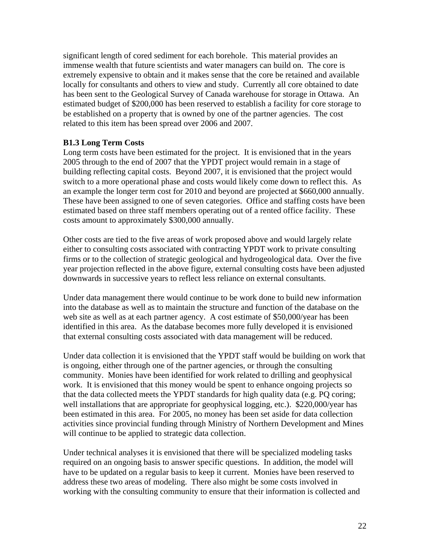significant length of cored sediment for each borehole. This material provides an immense wealth that future scientists and water managers can build on. The core is extremely expensive to obtain and it makes sense that the core be retained and available locally for consultants and others to view and study. Currently all core obtained to date has been sent to the Geological Survey of Canada warehouse for storage in Ottawa. An estimated budget of \$200,000 has been reserved to establish a facility for core storage to be established on a property that is owned by one of the partner agencies. The cost related to this item has been spread over 2006 and 2007.

### **B1.3 Long Term Costs**

Long term costs have been estimated for the project. It is envisioned that in the years 2005 through to the end of 2007 that the YPDT project would remain in a stage of building reflecting capital costs. Beyond 2007, it is envisioned that the project would switch to a more operational phase and costs would likely come down to reflect this. As an example the longer term cost for 2010 and beyond are projected at \$660,000 annually. These have been assigned to one of seven categories. Office and staffing costs have been estimated based on three staff members operating out of a rented office facility. These costs amount to approximately \$300,000 annually.

Other costs are tied to the five areas of work proposed above and would largely relate either to consulting costs associated with contracting YPDT work to private consulting firms or to the collection of strategic geological and hydrogeological data. Over the five year projection reflected in the above figure, external consulting costs have been adjusted downwards in successive years to reflect less reliance on external consultants.

Under data management there would continue to be work done to build new information into the database as well as to maintain the structure and function of the database on the web site as well as at each partner agency. A cost estimate of \$50,000/year has been identified in this area. As the database becomes more fully developed it is envisioned that external consulting costs associated with data management will be reduced.

Under data collection it is envisioned that the YPDT staff would be building on work that is ongoing, either through one of the partner agencies, or through the consulting community. Monies have been identified for work related to drilling and geophysical work. It is envisioned that this money would be spent to enhance ongoing projects so that the data collected meets the YPDT standards for high quality data (e.g. PQ coring; well installations that are appropriate for geophysical logging, etc.). \$220,000/year has been estimated in this area. For 2005, no money has been set aside for data collection activities since provincial funding through Ministry of Northern Development and Mines will continue to be applied to strategic data collection.

Under technical analyses it is envisioned that there will be specialized modeling tasks required on an ongoing basis to answer specific questions. In addition, the model will have to be updated on a regular basis to keep it current. Monies have been reserved to address these two areas of modeling. There also might be some costs involved in working with the consulting community to ensure that their information is collected and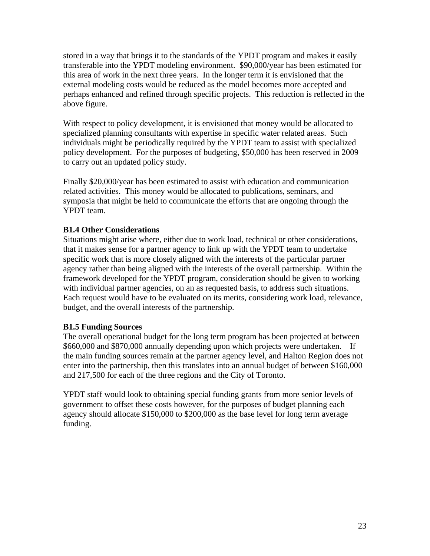stored in a way that brings it to the standards of the YPDT program and makes it easily transferable into the YPDT modeling environment. \$90,000/year has been estimated for this area of work in the next three years. In the longer term it is envisioned that the external modeling costs would be reduced as the model becomes more accepted and perhaps enhanced and refined through specific projects. This reduction is reflected in the above figure.

With respect to policy development, it is envisioned that money would be allocated to specialized planning consultants with expertise in specific water related areas. Such individuals might be periodically required by the YPDT team to assist with specialized policy development. For the purposes of budgeting, \$50,000 has been reserved in 2009 to carry out an updated policy study.

Finally \$20,000/year has been estimated to assist with education and communication related activities. This money would be allocated to publications, seminars, and symposia that might be held to communicate the efforts that are ongoing through the YPDT team.

### **B1.4 Other Considerations**

Situations might arise where, either due to work load, technical or other considerations, that it makes sense for a partner agency to link up with the YPDT team to undertake specific work that is more closely aligned with the interests of the particular partner agency rather than being aligned with the interests of the overall partnership. Within the framework developed for the YPDT program, consideration should be given to working with individual partner agencies, on an as requested basis, to address such situations. Each request would have to be evaluated on its merits, considering work load, relevance, budget, and the overall interests of the partnership.

#### **B1.5 Funding Sources**

The overall operational budget for the long term program has been projected at between \$660,000 and \$870,000 annually depending upon which projects were undertaken. If the main funding sources remain at the partner agency level, and Halton Region does not enter into the partnership, then this translates into an annual budget of between \$160,000 and 217,500 for each of the three regions and the City of Toronto.

YPDT staff would look to obtaining special funding grants from more senior levels of government to offset these costs however, for the purposes of budget planning each agency should allocate \$150,000 to \$200,000 as the base level for long term average funding.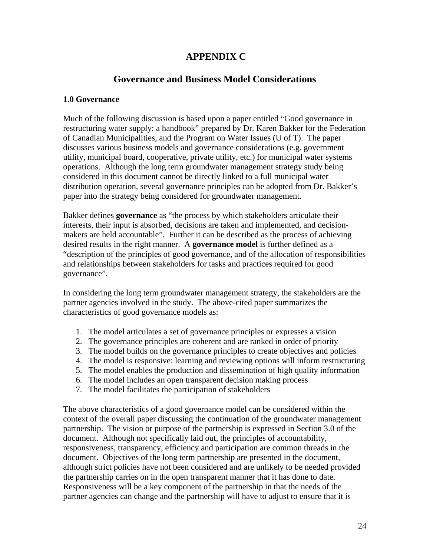## **APPENDIX C**

## **Governance and Business Model Considerations**

### **1.0 Governance**

Much of the following discussion is based upon a paper entitled "Good governance in restructuring water supply: a handbook" prepared by Dr. Karen Bakker for the Federation of Canadian Municipalities, and the Program on Water Issues (U of T). The paper discusses various business models and governance considerations (e.g. government utility, municipal board, cooperative, private utility, etc.) for municipal water systems operations. Although the long term groundwater management strategy study being considered in this document cannot be directly linked to a full municipal water distribution operation, several governance principles can be adopted from Dr. Bakker's paper into the strategy being considered for groundwater management.

Bakker defines **governance** as "the process by which stakeholders articulate their interests, their input is absorbed, decisions are taken and implemented, and decisionmakers are held accountable". Further it can be described as the process of achieving desired results in the right manner. A **governance model** is further defined as a "description of the principles of good governance, and of the allocation of responsibilities and relationships between stakeholders for tasks and practices required for good governance".

In considering the long term groundwater management strategy, the stakeholders are the partner agencies involved in the study. The above-cited paper summarizes the characteristics of good governance models as:

- 1. The model articulates a set of governance principles or expresses a vision
- 2. The governance principles are coherent and are ranked in order of priority
- 3. The model builds on the governance principles to create objectives and policies
- 4. The model is responsive: learning and reviewing options will inform restructuring
- 5. The model enables the production and dissemination of high quality information
- 6. The model includes an open transparent decision making process
- 7. The model facilitates the participation of stakeholders

The above characteristics of a good governance model can be considered within the context of the overall paper discussing the continuation of the groundwater management partnership. The vision or purpose of the partnership is expressed in Section 3.0 of the document. Although not specifically laid out, the principles of accountability, responsiveness, transparency, efficiency and participation are common threads in the document. Objectives of the long term partnership are presented in the document, although strict policies have not been considered and are unlikely to be needed provided the partnership carries on in the open transparent manner that it has done to date. Responsiveness will be a key component of the partnership in that the needs of the partner agencies can change and the partnership will have to adjust to ensure that it is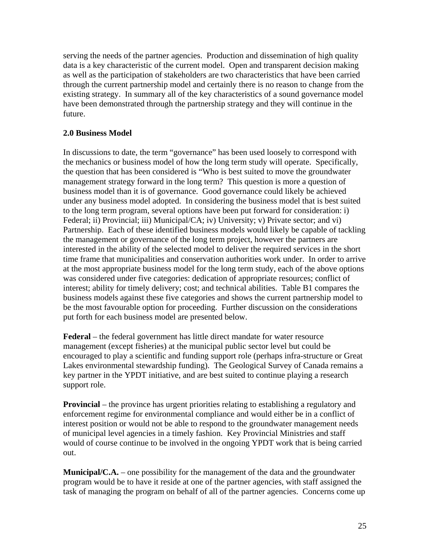serving the needs of the partner agencies. Production and dissemination of high quality data is a key characteristic of the current model. Open and transparent decision making as well as the participation of stakeholders are two characteristics that have been carried through the current partnership model and certainly there is no reason to change from the existing strategy. In summary all of the key characteristics of a sound governance model have been demonstrated through the partnership strategy and they will continue in the future.

### **2.0 Business Model**

In discussions to date, the term "governance" has been used loosely to correspond with the mechanics or business model of how the long term study will operate. Specifically, the question that has been considered is "Who is best suited to move the groundwater management strategy forward in the long term? This question is more a question of business model than it is of governance. Good governance could likely be achieved under any business model adopted. In considering the business model that is best suited to the long term program, several options have been put forward for consideration: i) Federal; ii) Provincial; iii) Municipal/CA; iv) University; v) Private sector; and vi) Partnership. Each of these identified business models would likely be capable of tackling the management or governance of the long term project, however the partners are interested in the ability of the selected model to deliver the required services in the short time frame that municipalities and conservation authorities work under. In order to arrive at the most appropriate business model for the long term study, each of the above options was considered under five categories: dedication of appropriate resources; conflict of interest; ability for timely delivery; cost; and technical abilities. Table B1 compares the business models against these five categories and shows the current partnership model to be the most favourable option for proceeding. Further discussion on the considerations put forth for each business model are presented below.

**Federal** – the federal government has little direct mandate for water resource management (except fisheries) at the municipal public sector level but could be encouraged to play a scientific and funding support role (perhaps infra-structure or Great Lakes environmental stewardship funding). The Geological Survey of Canada remains a key partner in the YPDT initiative, and are best suited to continue playing a research support role.

**Provincial** – the province has urgent priorities relating to establishing a regulatory and enforcement regime for environmental compliance and would either be in a conflict of interest position or would not be able to respond to the groundwater management needs of municipal level agencies in a timely fashion. Key Provincial Ministries and staff would of course continue to be involved in the ongoing YPDT work that is being carried out.

**Municipal/C.A.** – one possibility for the management of the data and the groundwater program would be to have it reside at one of the partner agencies, with staff assigned the task of managing the program on behalf of all of the partner agencies. Concerns come up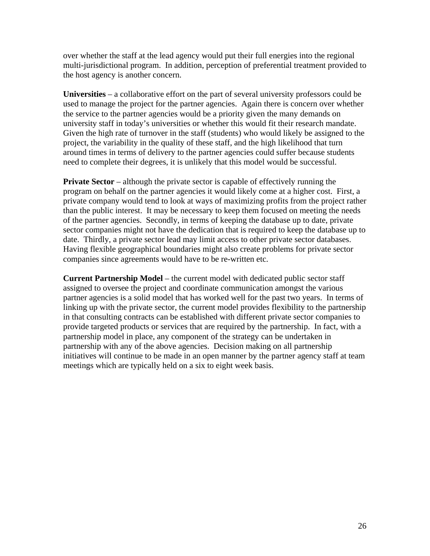over whether the staff at the lead agency would put their full energies into the regional multi-jurisdictional program. In addition, perception of preferential treatment provided to the host agency is another concern.

**Universities** – a collaborative effort on the part of several university professors could be used to manage the project for the partner agencies. Again there is concern over whether the service to the partner agencies would be a priority given the many demands on university staff in today's universities or whether this would fit their research mandate. Given the high rate of turnover in the staff (students) who would likely be assigned to the project, the variability in the quality of these staff, and the high likelihood that turn around times in terms of delivery to the partner agencies could suffer because students need to complete their degrees, it is unlikely that this model would be successful.

**Private Sector** – although the private sector is capable of effectively running the program on behalf on the partner agencies it would likely come at a higher cost. First, a private company would tend to look at ways of maximizing profits from the project rather than the public interest. It may be necessary to keep them focused on meeting the needs of the partner agencies. Secondly, in terms of keeping the database up to date, private sector companies might not have the dedication that is required to keep the database up to date. Thirdly, a private sector lead may limit access to other private sector databases. Having flexible geographical boundaries might also create problems for private sector companies since agreements would have to be re-written etc.

**Current Partnership Model** – the current model with dedicated public sector staff assigned to oversee the project and coordinate communication amongst the various partner agencies is a solid model that has worked well for the past two years. In terms of linking up with the private sector, the current model provides flexibility to the partnership in that consulting contracts can be established with different private sector companies to provide targeted products or services that are required by the partnership. In fact, with a partnership model in place, any component of the strategy can be undertaken in partnership with any of the above agencies. Decision making on all partnership initiatives will continue to be made in an open manner by the partner agency staff at team meetings which are typically held on a six to eight week basis.